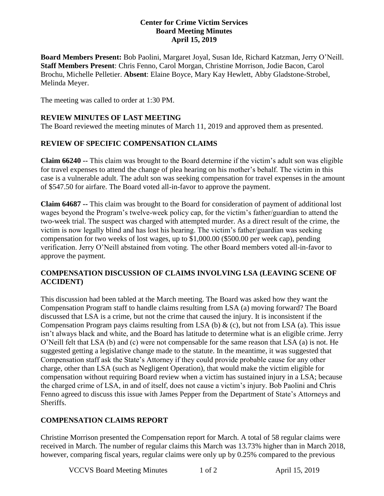#### **Center for Crime Victim Services Board Meeting Minutes April 15, 2019**

**Board Members Present:** Bob Paolini, Margaret Joyal, Susan Ide, Richard Katzman, Jerry O'Neill. **Staff Members Present**: Chris Fenno, Carol Morgan, Christine Morrison, Jodie Bacon, Carol Brochu, Michelle Pelletier. **Absent**: Elaine Boyce, Mary Kay Hewlett, Abby Gladstone-Strobel, Melinda Meyer.

The meeting was called to order at 1:30 PM.

#### **REVIEW MINUTES OF LAST MEETING**

The Board reviewed the meeting minutes of March 11, 2019 and approved them as presented.

# **REVIEW OF SPECIFIC COMPENSATION CLAIMS**

**Claim 66240 --** This claim was brought to the Board determine if the victim's adult son was eligible for travel expenses to attend the change of plea hearing on his mother's behalf. The victim in this case is a vulnerable adult. The adult son was seeking compensation for travel expenses in the amount of \$547.50 for airfare. The Board voted all-in-favor to approve the payment.

**Claim 64687 --** This claim was brought to the Board for consideration of payment of additional lost wages beyond the Program's twelve-week policy cap, for the victim's father/guardian to attend the two-week trial. The suspect was charged with attempted murder. As a direct result of the crime, the victim is now legally blind and has lost his hearing. The victim's father/guardian was seeking compensation for two weeks of lost wages, up to \$1,000.00 (\$500.00 per week cap), pending verification. Jerry O'Neill abstained from voting. The other Board members voted all-in-favor to approve the payment.

### **COMPENSATION DISCUSSION OF CLAIMS INVOLVING LSA (LEAVING SCENE OF ACCIDENT)**

This discussion had been tabled at the March meeting. The Board was asked how they want the Compensation Program staff to handle claims resulting from LSA (a) moving forward? The Board discussed that LSA is a crime, but not the crime that caused the injury. It is inconsistent if the Compensation Program pays claims resulting from LSA (b)  $\&$  (c), but not from LSA (a). This issue isn't always black and white, and the Board has latitude to determine what is an eligible crime. Jerry O'Neill felt that LSA (b) and (c) were not compensable for the same reason that LSA (a) is not. He suggested getting a legislative change made to the statute. In the meantime, it was suggested that Compensation staff ask the State's Attorney if they could provide probable cause for any other charge, other than LSA (such as Negligent Operation), that would make the victim eligible for compensation without requiring Board review when a victim has sustained injury in a LSA; because the charged crime of LSA, in and of itself, does not cause a victim's injury. Bob Paolini and Chris Fenno agreed to discuss this issue with James Pepper from the Department of State's Attorneys and Sheriffs.

# **COMPENSATION CLAIMS REPORT**

Christine Morrison presented the Compensation report for March. A total of 58 regular claims were received in March. The number of regular claims this March was 13.73% higher than in March 2018, however, comparing fiscal years, regular claims were only up by 0.25% compared to the previous

VCCVS Board Meeting Minutes 1 of 2 April 15, 2019